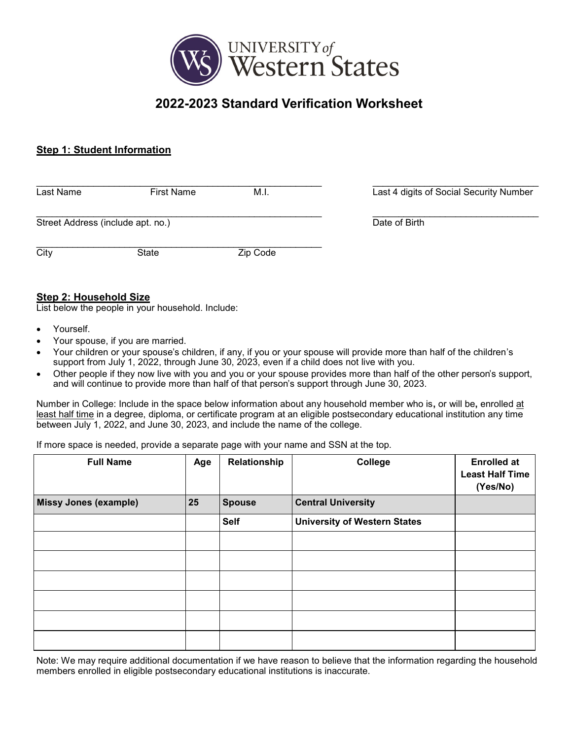

# **2022-2023 Standard Verification Worksheet**

# **Step 1: Student Information**

| Last Name                         | <b>First Name</b> | M.I.     | Last 4 digits of Social Security Number |
|-----------------------------------|-------------------|----------|-----------------------------------------|
| Street Address (include apt. no.) |                   |          | Date of Birth                           |
| City                              | State             | Zip Code |                                         |

# **Step 2: Household Size**

List below the people in your household. Include:

- Yourself.
- Your spouse, if you are married.
- Your children or your spouse's children, if any, if you or your spouse will provide more than half of the children's support from July 1, 2022, through June 30, 2023, even if a child does not live with you.
- Other people if they now live with you and you or your spouse provides more than half of the other person's support, and will continue to provide more than half of that person's support through June 30, 2023.

Number in College: Include in the space below information about any household member who is**,** or will be**,** enrolled at least half time in a degree, diploma, or certificate program at an eligible postsecondary educational institution any time between July 1, 2022, and June 30, 2023, and include the name of the college.

If more space is needed, provide a separate page with your name and SSN at the top.

| <b>Full Name</b>             | Age | Relationship  | College                             | <b>Enrolled at</b><br><b>Least Half Time</b><br>(Yes/No) |
|------------------------------|-----|---------------|-------------------------------------|----------------------------------------------------------|
| <b>Missy Jones (example)</b> | 25  | <b>Spouse</b> | <b>Central University</b>           |                                                          |
|                              |     | <b>Self</b>   | <b>University of Western States</b> |                                                          |
|                              |     |               |                                     |                                                          |
|                              |     |               |                                     |                                                          |
|                              |     |               |                                     |                                                          |
|                              |     |               |                                     |                                                          |
|                              |     |               |                                     |                                                          |
|                              |     |               |                                     |                                                          |

Note: We may require additional documentation if we have reason to believe that the information regarding the household members enrolled in eligible postsecondary educational institutions is inaccurate.